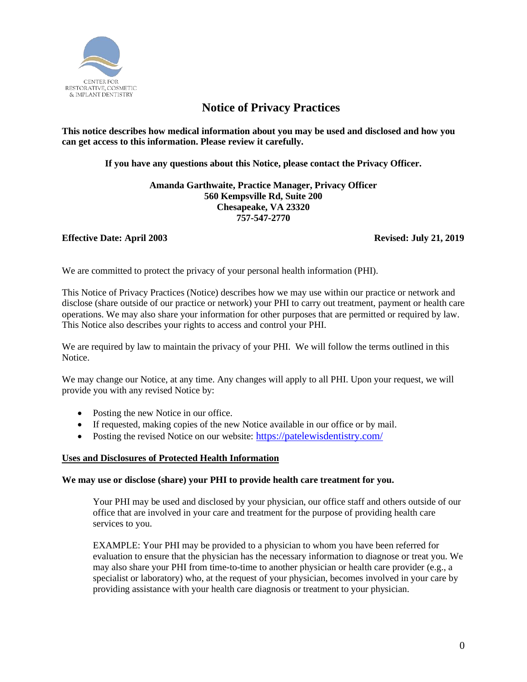

# **Notice of Privacy Practices**

**This notice describes how medical information about you may be used and disclosed and how you can get access to this information. Please review it carefully.** 

**If you have any questions about this Notice, please contact the Privacy Officer.**

**Amanda Garthwaite, Practice Manager, Privacy Officer 560 Kempsville Rd, Suite 200 Chesapeake, VA 23320 757-547-2770**

# **Effective Date: April 2003 Revised: July 21, 2019**

We are committed to protect the privacy of your personal health information (PHI).

This Notice of Privacy Practices (Notice) describes how we may use within our practice or network and disclose (share outside of our practice or network) your PHI to carry out treatment, payment or health care operations. We may also share your information for other purposes that are permitted or required by law. This Notice also describes your rights to access and control your PHI.

We are required by law to maintain the privacy of your PHI. We will follow the terms outlined in this Notice.

We may change our Notice, at any time. Any changes will apply to all PHI. Upon your request, we will provide you with any revised Notice by:

- Posting the new Notice in our office.
- If requested, making copies of the new Notice available in our office or by mail.
- Posting the revised Notice on our website: <https://patelewisdentistry.com/>

# **Uses and Disclosures of Protected Health Information**

# **We may use or disclose (share) your PHI to provide health care treatment for you.**

Your PHI may be used and disclosed by your physician, our office staff and others outside of our office that are involved in your care and treatment for the purpose of providing health care services to you.

EXAMPLE: Your PHI may be provided to a physician to whom you have been referred for evaluation to ensure that the physician has the necessary information to diagnose or treat you. We may also share your PHI from time-to-time to another physician or health care provider (e.g., a specialist or laboratory) who, at the request of your physician, becomes involved in your care by providing assistance with your health care diagnosis or treatment to your physician.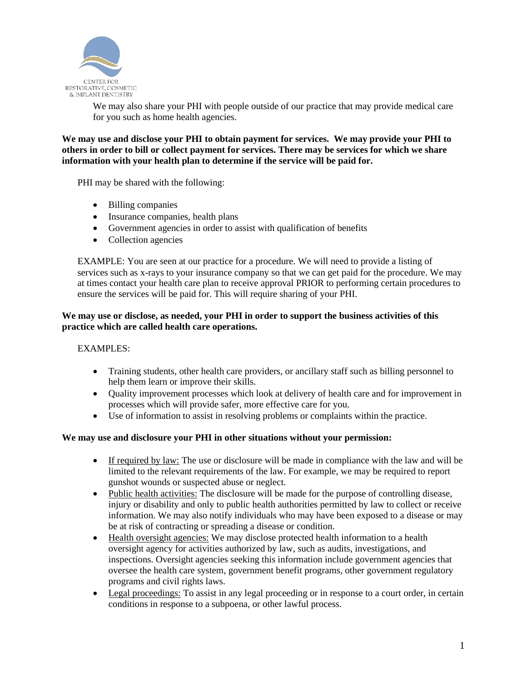

We may also share your PHI with people outside of our practice that may provide medical care for you such as home health agencies.

**We may use and disclose your PHI to obtain payment for services. We may provide your PHI to others in order to bill or collect payment for services. There may be services for which we share information with your health plan to determine if the service will be paid for.**

PHI may be shared with the following:

- Billing companies
- Insurance companies, health plans
- Government agencies in order to assist with qualification of benefits
- Collection agencies

EXAMPLE: You are seen at our practice for a procedure. We will need to provide a listing of services such as x-rays to your insurance company so that we can get paid for the procedure. We may at times contact your health care plan to receive approval PRIOR to performing certain procedures to ensure the services will be paid for. This will require sharing of your PHI.

# **We may use or disclose, as needed, your PHI in order to support the business activities of this practice which are called health care operations.**

# EXAMPLES:

- Training students, other health care providers, or ancillary staff such as billing personnel to help them learn or improve their skills.
- Quality improvement processes which look at delivery of health care and for improvement in processes which will provide safer, more effective care for you.
- Use of information to assist in resolving problems or complaints within the practice.

### **We may use and disclosure your PHI in other situations without your permission:**

- If required by law: The use or disclosure will be made in compliance with the law and will be limited to the relevant requirements of the law. For example, we may be required to report gunshot wounds or suspected abuse or neglect.
- Public health activities: The disclosure will be made for the purpose of controlling disease, injury or disability and only to public health authorities permitted by law to collect or receive information. We may also notify individuals who may have been exposed to a disease or may be at risk of contracting or spreading a disease or condition.
- Health oversight agencies: We may disclose protected health information to a health oversight agency for activities authorized by law, such as audits, investigations, and inspections. Oversight agencies seeking this information include government agencies that oversee the health care system, government benefit programs, other government regulatory programs and civil rights laws.
- Legal proceedings: To assist in any legal proceeding or in response to a court order, in certain conditions in response to a subpoena, or other lawful process.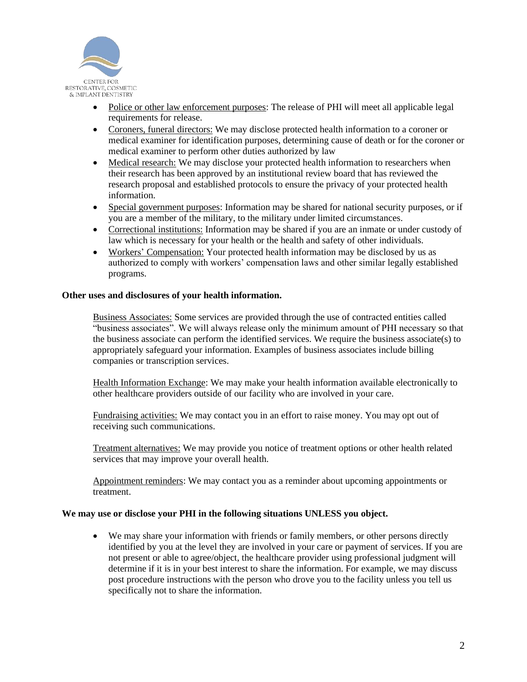

- Police or other law enforcement purposes: The release of PHI will meet all applicable legal requirements for release.
- Coroners, funeral directors: We may disclose protected health information to a coroner or medical examiner for identification purposes, determining cause of death or for the coroner or medical examiner to perform other duties authorized by law
- Medical research: We may disclose your protected health information to researchers when their research has been approved by an institutional review board that has reviewed the research proposal and established protocols to ensure the privacy of your protected health information.
- Special government purposes: Information may be shared for national security purposes, or if you are a member of the military, to the military under limited circumstances.
- Correctional institutions: Information may be shared if you are an inmate or under custody of law which is necessary for your health or the health and safety of other individuals.
- Workers' Compensation: Your protected health information may be disclosed by us as authorized to comply with workers' compensation laws and other similar legally established programs.

# **Other uses and disclosures of your health information.**

Business Associates: Some services are provided through the use of contracted entities called "business associates". We will always release only the minimum amount of PHI necessary so that the business associate can perform the identified services. We require the business associate(s) to appropriately safeguard your information. Examples of business associates include billing companies or transcription services.

Health Information Exchange: We may make your health information available electronically to other healthcare providers outside of our facility who are involved in your care.

Fundraising activities: We may contact you in an effort to raise money. You may opt out of receiving such communications.

Treatment alternatives: We may provide you notice of treatment options or other health related services that may improve your overall health.

Appointment reminders: We may contact you as a reminder about upcoming appointments or treatment.

### **We may use or disclose your PHI in the following situations UNLESS you object.**

• We may share your information with friends or family members, or other persons directly identified by you at the level they are involved in your care or payment of services. If you are not present or able to agree/object, the healthcare provider using professional judgment will determine if it is in your best interest to share the information. For example, we may discuss post procedure instructions with the person who drove you to the facility unless you tell us specifically not to share the information.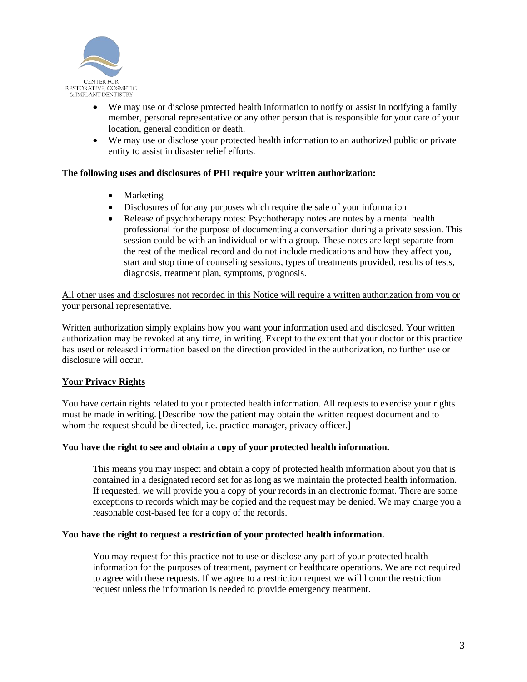

- We may use or disclose protected health information to notify or assist in notifying a family member, personal representative or any other person that is responsible for your care of your location, general condition or death.
- We may use or disclose your protected health information to an authorized public or private entity to assist in disaster relief efforts.

# **The following uses and disclosures of PHI require your written authorization:**

- Marketing
- Disclosures of for any purposes which require the sale of your information
- Release of psychotherapy notes: Psychotherapy notes are notes by a mental health professional for the purpose of documenting a conversation during a private session. This session could be with an individual or with a group. These notes are kept separate from the rest of the medical record and do not include medications and how they affect you, start and stop time of counseling sessions, types of treatments provided, results of tests, diagnosis, treatment plan, symptoms, prognosis.

All other uses and disclosures not recorded in this Notice will require a written authorization from you or your personal representative.

Written authorization simply explains how you want your information used and disclosed. Your written authorization may be revoked at any time, in writing. Except to the extent that your doctor or this practice has used or released information based on the direction provided in the authorization, no further use or disclosure will occur.

# **Your Privacy Rights**

You have certain rights related to your protected health information. All requests to exercise your rights must be made in writing. [Describe how the patient may obtain the written request document and to whom the request should be directed, i.e. practice manager, privacy officer.]

# **You have the right to see and obtain a copy of your protected health information.**

This means you may inspect and obtain a copy of protected health information about you that is contained in a designated record set for as long as we maintain the protected health information. If requested, we will provide you a copy of your records in an electronic format. There are some exceptions to records which may be copied and the request may be denied. We may charge you a reasonable cost-based fee for a copy of the records.

### **You have the right to request a restriction of your protected health information.**

You may request for this practice not to use or disclose any part of your protected health information for the purposes of treatment, payment or healthcare operations. We are not required to agree with these requests. If we agree to a restriction request we will honor the restriction request unless the information is needed to provide emergency treatment.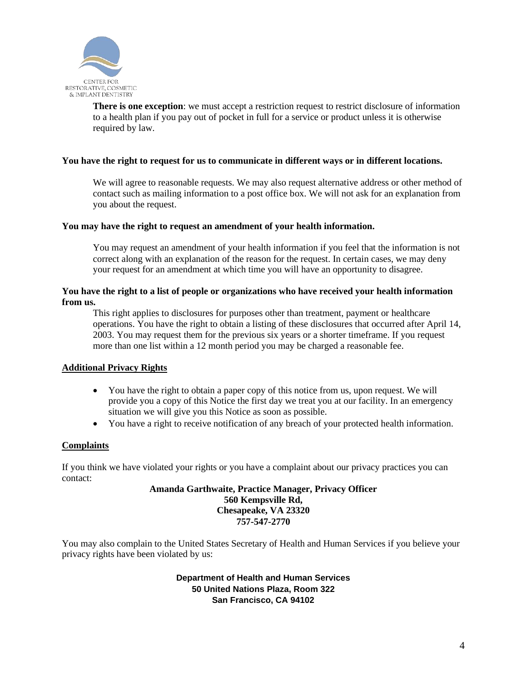

**There is one exception**: we must accept a restriction request to restrict disclosure of information to a health plan if you pay out of pocket in full for a service or product unless it is otherwise required by law.

### **You have the right to request for us to communicate in different ways or in different locations.**

We will agree to reasonable requests. We may also request alternative address or other method of contact such as mailing information to a post office box. We will not ask for an explanation from you about the request.

### **You may have the right to request an amendment of your health information.**

You may request an amendment of your health information if you feel that the information is not correct along with an explanation of the reason for the request. In certain cases, we may deny your request for an amendment at which time you will have an opportunity to disagree.

# **You have the right to a list of people or organizations who have received your health information from us.**

This right applies to disclosures for purposes other than treatment, payment or healthcare operations. You have the right to obtain a listing of these disclosures that occurred after April 14, 2003. You may request them for the previous six years or a shorter timeframe. If you request more than one list within a 12 month period you may be charged a reasonable fee.

# **Additional Privacy Rights**

- You have the right to obtain a paper copy of this notice from us, upon request. We will provide you a copy of this Notice the first day we treat you at our facility. In an emergency situation we will give you this Notice as soon as possible.
- You have a right to receive notification of any breach of your protected health information.

# **Complaints**

If you think we have violated your rights or you have a complaint about our privacy practices you can contact:

### **Amanda Garthwaite, Practice Manager, Privacy Officer 560 Kempsville Rd, Chesapeake, VA 23320 757-547-2770**

You may also complain to the United States Secretary of Health and Human Services if you believe your privacy rights have been violated by us:

# **Department of Health and Human Services 50 United Nations Plaza, Room 322 San Francisco, CA 94102**